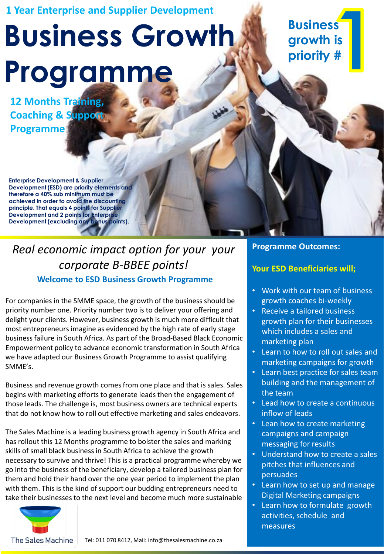### **1 Year Enterprise and Supplier Development**

# **Business Growth Programme**

**12 Months Training, Coaching & Support Programme** 

**Enterprise Development & Supplier Development (ESD) are priority elements and therefore a 40% sub minimum must be achieved in order to avoid the discounting principle. That equals 4 points for Supplier Development and 2 points for Enterprise Development (excluding any bonus points).** 

### **Welcome to ESD Business Growth Programme**  *Real economic impact option for your your corporate B-BBEE points!*

For companies in the SMME space, the growth of the business should be priority number one. Priority number two is to deliver your offering and delight your clients. However, business growth is much more difficult that most entrepreneurs imagine as evidenced by the high rate of early stage business failure in South Africa. As part of the Broad-Based Black Economic Empowerment policy to advance economic transformation in South Africa we have adapted our Business Growth Programme to assist qualifying SMME's.

Business and revenue growth comes from one place and that is sales. Sales begins with marketing efforts to generate leads then the engagement of those leads. The challenge is, most business owners are technical experts that do not know how to roll out effective marketing and sales endeavors.

The Sales Machine is a leading business growth agency in South Africa and has rollout this 12 Months programme to bolster the sales and marking skills of small black business in South Africa to achieve the growth necessary to survive and thrive! This is a practical programme whereby we go into the business of the beneficiary, develop a tailored business plan for them and hold their hand over the one year period to implement the plan with them. This is the kind of support our budding entrepreneurs need to take their businesses to the next level and become much more sustainable



**Business growth is priority #** 

### **Programme Outcomes:**

### **Your ESD Beneficiaries will;**

- Work with our team of business growth coaches bi-weekly
- Receive a tailored business growth plan for their businesses which includes a sales and marketing plan
- Learn to how to roll out sales and marketing campaigns for growth
- Learn best practice for sales team building and the management of the team
- Lead how to create a continuous inflow of leads
- Lean how to create marketing campaigns and campaign messaging for results
- Understand how to create a sales pitches that influences and persuades
- Learn how to set up and manage Digital Marketing campaigns
- Learn how to formulate growth activities, schedule and measures

The Sales Machine Tel: 011 070 8412, Mail: info@thesalesmachine.co.za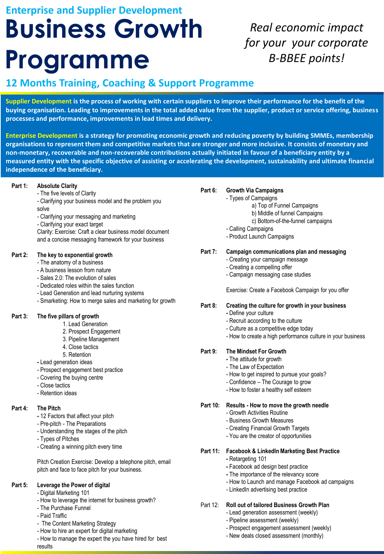## **Business Growth Programme Enterprise and Supplier Development**

### *Real economic impact for your your corporate B-BBEE points!*

### **12 Months Training, Coaching & Support Programme**

**Supplier Development is the process of working with certain suppliers to improve their performance for the benefit of the buying organisation. Leading to improvements in the total added value from the supplier, product or service offering, business processes and performance, improvements in lead times and delivery.**

**Enterprise Development is a strategy for promoting economic growth and reducing poverty by building SMMEs, membership organisations to represent them and competitive markets that are stronger and more inclusive. It consists of monetary and non-monetary, recoverable and non-recoverable contributions actually initiated in favour of a beneficiary entity by a measured entity with the specific objective of assisting or accelerating the development, sustainability and ultimate financial independence of the beneficiary.**

### **Part 1: Absolute Clarity**

- The five levels of Clarity
- Clarifying your business model and the problem you solve
- Clarifying your messaging and marketing
- Clarifying your exact target

Clarity: Exercise: Craft a clear business model document and a concise messaging framework for your business

### **Part 2: The key to exponential growth**

- The anatomy of a business
- A business lesson from nature
- Sales 2.0: The evolution of sales
- Dedicated roles within the sales function
- Lead Generation and lead nurturing systems
- Smarketing: How to merge sales and marketing for growth

### **Part 3: The five pillars of growth**

- 1. Lead Generation
- 2. Prospect Engagement
- 3. Pipeline Management
- 4. Close tactics
- 5. Retention
- **-** Lead generation ideas
- Prospect engagement best practice
- Covering the buying centre
- Close tactics
- Retention ideas

### **Part 4: The Pitch**

- **-** 12 Factors that affect your pitch
- Pre-pitch The Preparations
- Understanding the stages of the pitch
- Types of Pitches
- Creating a winning pitch every time

Pitch Creation Exercise: Develop a telephone pitch, email pitch and face to face pitch for your business.

### **Part 5: Leverage the Power of digital**

- Digital Marketing 101
- How to leverage the internet for business growth?
- The Purchase Funnel
- Paid Traffic
- The Content Marketing Strategy
- How to hire an expert for digital marketing
- How to manage the expert the you have hired for best results

### **Part 6: Growth Via Campaigns**

- Types of Campaigns
	- a) Top of Funnel Campaigns
	- b) Middle of funnel Campaigns
	- c) Bottom-of-the-funnel campaigns
	- Calling Campaigns
	- Product Launch Campaigns

### **Part 7: Campaign communications plan and messaging**

- Creating your campaign message
- Creating a compelling offer
- Campaign messaging case studies

Exercise: Create a Facebook Campaign for you offer

### **Part 8: Creating the culture for growth in your business**

- **-** Define your culture
- Recruit according to the culture
- Culture as a competitive edge today
- How to create a high performance culture in your business

### **Part 9: The Mindset For Growth**

- **-** The attitude for growth
- The Law of Expectation
- How to get inspired to pursue your goals?
- Confidence The Courage to grow
- How to foster a healthy self esteem
- **Part 10: Results - How to move the growth needle** 
	- Growth Activities Routine
	- Business Growth Measures
	- Creating Financial Growth Targets
	- You are the creator of opportunities

### **Part 11: Facebook & LinkedIn Marketing Best Practice**

- **-** Retargeting 101
- **-** Facebook ad design best practice
- **-** The importance of the relevancy score
- How to Launch and manage Facebook ad campaigns
- LinkedIn advertising best practice

### Part 12: **Roll out of tailored Business Growth Plan**

- Lead generation assessment (weekly)
- Pipeline assessment (weekly)
- Prospect engagement assessment (weekly)
- New deals closed assessment (monthly)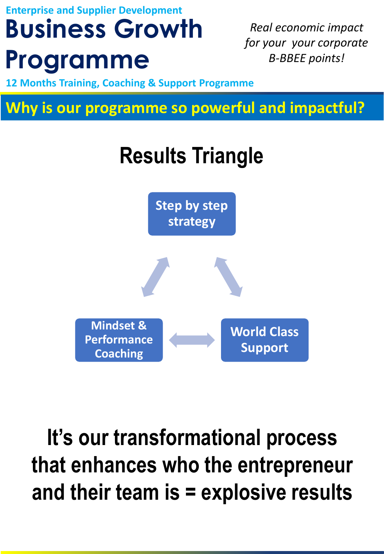**Business Growth Enterprise and Supplier Development**

## **Programme**

*Real economic impact for your your corporate B-BBEE points!*

**12 Months Training, Coaching & Support Programme** 

**Why is our programme so powerful and impactful?** 

## **Results Triangle**



**It's our transformational process that enhances who the entrepreneur and their team is = explosive results**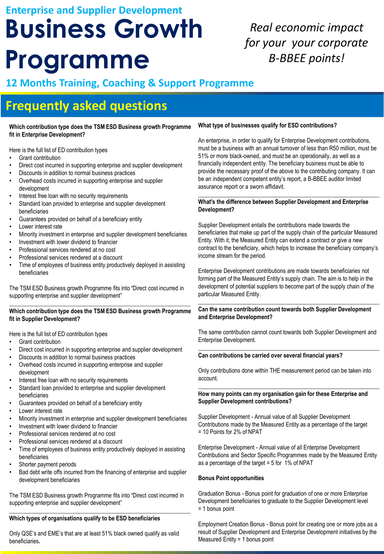## **Business Growth Enterprise and Supplier Development**

## **Programme**

## *Real economic impact for your your corporate B-BBEE points!*

### **12 Months Training, Coaching & Support Programme**

## **Frequently asked questions**

#### **Which contribution type does the TSM ESD Business growth Programme fit in Enterprise Development?**

Here is the full list of ED contribution types

- Grant contribution
- Direct cost incurred in supporting enterprise and supplier development
- Discounts in addition to normal business practices
- Overhead costs incurred in supporting enterprise and supplier development
- Interest free loan with no security requirements
- Standard loan provided to enterprise and supplier development beneficiaries
- Guarantees provided on behalf of a beneficiary entity
- Lower interest rate
- Minority investment in enterprise and supplier development beneficiaries
- Investment with lower dividend to financier
- Professional services rendered at no cost
- Professional services rendered at a discount
- Time of employees of business entity productively deployed in assisting beneficiaries

The TSM ESD Business growth Programme fits into "Direct cost incurred in supporting enterprise and supplier development"

#### **\_\_\_\_\_\_\_\_\_\_\_\_\_\_\_\_\_\_\_\_\_\_\_\_\_\_\_\_\_\_\_\_\_\_\_\_\_\_\_\_\_\_\_\_\_\_\_\_\_\_\_\_\_\_\_\_\_\_\_\_\_\_ Which contribution type does the TSM ESD Business growth Programme fit in Supplier Development?**

Here is the full list of ED contribution types

- Grant contribution
- Direct cost incurred in supporting enterprise and supplier development
- Discounts in addition to normal business practices
- Overhead costs incurred in supporting enterprise and supplier development
- Interest free loan with no security requirements
- Standard loan provided to enterprise and supplier development beneficiaries
- Guarantees provided on behalf of a beneficiary entity
- Lower interest rate
- Minority investment in enterprise and supplier development beneficiaries
- Investment with lower dividend to financier
- Professional services rendered at no cost
- Professional services rendered at a discount
- Time of employees of business entity productively deployed in assisting beneficiaries
- Shorter payment periods
- Bad debt write offs incurred from the financing of enterprise and supplier development beneficiaries

The TSM ESD Business growth Programme fits into "Direct cost incurred in supporting enterprise and supplier development" **\_\_\_\_\_\_\_\_\_\_\_\_\_\_\_\_\_\_\_\_\_\_\_\_\_\_\_\_\_\_\_\_\_\_\_\_\_\_\_\_\_\_\_\_\_\_\_\_\_\_\_\_\_\_\_\_\_\_\_\_\_\_**

### **Which types of organisations qualify to be ESD beneficiaries**

Only QSE's and EME's that are at least 51% black owned qualify as valid beneficiaries**.**

### **What type of businesses qualify for ESD contributions?**

An enterprise, in order to qualify for Enterprise Development contributions, must be a business with an annual turnover of less than R50 million, must be 51% or more black-owned, and must be an operationally, as well as a financially independent entity. The beneficiary business must be able to provide the necessary proof of the above to the contributing company. It can be an independent competent entity's report, a B-BBEE auditor limited assurance report or a sworn affidavit.

**\_\_\_\_\_\_\_\_\_\_\_\_\_\_\_\_\_\_\_\_\_\_\_\_\_\_\_\_\_\_\_\_\_\_\_\_\_\_\_\_\_\_\_\_\_\_\_\_\_\_\_\_\_\_\_\_\_\_\_\_\_\_**

#### **What's the difference between Supplier Development and Enterprise Development?**

Supplier Development entails the contributions made towards the beneficiaries that make up part of the supply chain of the particular Measured Entity. With it, the Measured Entity can extend a contract or give a new contract to the beneficiary, which helps to increase the beneficiary company's income stream for the period.

Enterprise Development contributions are made towards beneficiaries not forming part of the Measured Entity's supply chain. The aim is to help in the development of potential suppliers to become part of the supply chain of the particular Measured Entity.

#### \_\_\_\_\_\_\_\_\_\_\_\_\_\_\_\_\_\_\_\_\_\_\_\_\_\_\_\_\_\_\_\_\_\_\_\_\_\_\_\_\_\_\_\_\_\_\_\_\_\_\_\_\_\_\_\_\_\_\_\_\_\_ **Can the same contribution count towards both Supplier Development and Enterprise Development?**

The same contribution cannot count towards both Supplier Development and Enterprise Development. **\_\_\_\_\_\_\_\_\_\_\_\_\_\_\_\_\_\_\_\_\_\_\_\_\_\_\_\_\_\_\_\_\_\_\_\_\_\_\_\_\_\_\_\_\_\_\_\_\_\_\_\_\_\_\_\_\_\_\_\_\_\_**

#### **Can contributions be carried over several financial years?**

Only contributions done within THE measurement period can be taken into account.

**\_\_\_\_\_\_\_\_\_\_\_\_\_\_\_\_\_\_\_\_\_\_\_\_\_\_\_\_\_\_\_\_\_\_\_\_\_\_\_\_\_\_\_\_\_\_\_\_\_\_\_\_\_\_\_\_\_\_\_\_\_\_**

#### **How many points can my organisation gain for these Enterprise and Supplier Development contributions?**

Supplier Development - Annual value of all Supplier Development Contributions made by the Measured Entity as a percentage of the target = 10 Points for 2% of NPAT

Enterprise Development - Annual value of all Enterprise Development Contributions and Sector Specific Programmes made by the Measured Entity as a percentage of the target = 5 for 1% of NPAT

### **Bonus Point opportunities**

Graduation Bonus - Bonus point for graduation of one or more Enterprise Development beneficiaries to graduate to the Supplier Development level = 1 bonus point

Employment Creation Bonus - Bonus point for creating one or more jobs as a result of Supplier Development and Enterprise Development initiatives by the Measured Entity = 1 bonus point